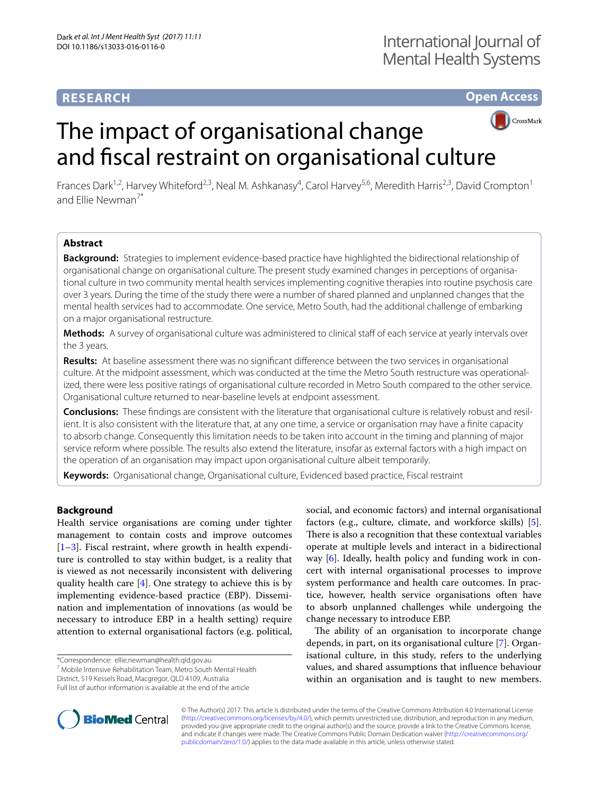# **RESEARCH**

# **Open Access**



# The impact of organisational change and fiscal restraint on organisational culture

Frances Dark<sup>1,2</sup>, Harvey Whiteford<sup>2,3</sup>, Neal M. Ashkanasy<sup>4</sup>, Carol Harvey<sup>5,6</sup>, Meredith Harris<sup>2,3</sup>, David Crompton<sup>1</sup> and Ellie Newman<sup>7\*</sup>

# **Abstract**

**Background:** Strategies to implement evidence-based practice have highlighted the bidirectional relationship of organisational change on organisational culture. The present study examined changes in perceptions of organisational culture in two community mental health services implementing cognitive therapies into routine psychosis care over 3 years. During the time of the study there were a number of shared planned and unplanned changes that the mental health services had to accommodate. One service, Metro South, had the additional challenge of embarking on a major organisational restructure.

**Methods:** A survey of organisational culture was administered to clinical staff of each service at yearly intervals over the 3 years.

**Results:** At baseline assessment there was no significant difference between the two services in organisational culture. At the midpoint assessment, which was conducted at the time the Metro South restructure was operationalized, there were less positive ratings of organisational culture recorded in Metro South compared to the other service. Organisational culture returned to near-baseline levels at endpoint assessment.

**Conclusions:** These findings are consistent with the literature that organisational culture is relatively robust and resilient. It is also consistent with the literature that, at any one time, a service or organisation may have a finite capacity to absorb change. Consequently this limitation needs to be taken into account in the timing and planning of major service reform where possible. The results also extend the literature, insofar as external factors with a high impact on the operation of an organisation may impact upon organisational culture albeit temporarily.

**Keywords:** Organisational change, Organisational culture, Evidenced based practice, Fiscal restraint

## **Background**

Health service organisations are coming under tighter management to contain costs and improve outcomes  $[1-3]$  $[1-3]$ . Fiscal restraint, where growth in health expenditure is controlled to stay within budget, is a reality that is viewed as not necessarily inconsistent with delivering quality health care  $[4]$  $[4]$ . One strategy to achieve this is by implementing evidence-based practice (EBP). Dissemination and implementation of innovations (as would be necessary to introduce EBP in a health setting) require attention to external organisational factors (e.g. political,

\*Correspondence: ellie.newman@health.qld.gov.au

7 Mobile Intensive Rehabilitation Team, Metro South Mental Health District, 519 Kessels Road, Macgregor, QLD 4109, Australia

social, and economic factors) and internal organisational factors (e.g., culture, climate, and workforce skills) [\[5](#page-6-3)]. There is also a recognition that these contextual variables operate at multiple levels and interact in a bidirectional way [\[6](#page-6-4)]. Ideally, health policy and funding work in concert with internal organisational processes to improve system performance and health care outcomes. In practice, however, health service organisations often have to absorb unplanned challenges while undergoing the change necessary to introduce EBP.

The ability of an organisation to incorporate change depends, in part, on its organisational culture [\[7](#page-6-5)]. Organisational culture, in this study, refers to the underlying values, and shared assumptions that influence behaviour within an organisation and is taught to new members.



© The Author(s) 2017. This article is distributed under the terms of the Creative Commons Attribution 4.0 International License [\(http://creativecommons.org/licenses/by/4.0/\)](http://creativecommons.org/licenses/by/4.0/), which permits unrestricted use, distribution, and reproduction in any medium, provided you give appropriate credit to the original author(s) and the source, provide a link to the Creative Commons license, and indicate if changes were made. The Creative Commons Public Domain Dedication waiver ([http://creativecommons.org/](http://creativecommons.org/publicdomain/zero/1.0/) [publicdomain/zero/1.0/](http://creativecommons.org/publicdomain/zero/1.0/)) applies to the data made available in this article, unless otherwise stated.

Full list of author information is available at the end of the article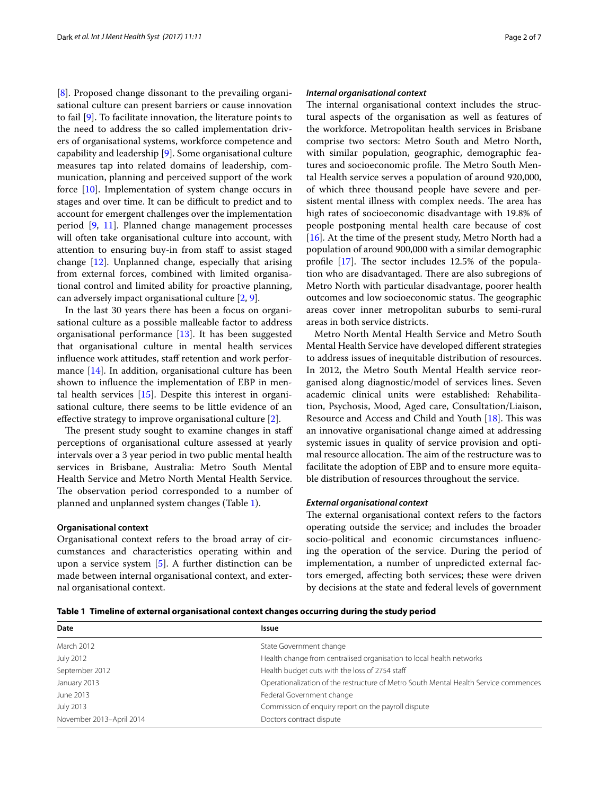[[8\]](#page-6-6). Proposed change dissonant to the prevailing organisational culture can present barriers or cause innovation to fail [[9\]](#page-6-7). To facilitate innovation, the literature points to the need to address the so called implementation drivers of organisational systems, workforce competence and capability and leadership [\[9](#page-6-7)]. Some organisational culture measures tap into related domains of leadership, communication, planning and perceived support of the work force [[10](#page-6-8)]. Implementation of system change occurs in stages and over time. It can be difficult to predict and to account for emergent challenges over the implementation period [\[9](#page-6-7), [11\]](#page-6-9). Planned change management processes will often take organisational culture into account, with attention to ensuring buy-in from staff to assist staged change [\[12](#page-6-10)]. Unplanned change, especially that arising from external forces, combined with limited organisational control and limited ability for proactive planning, can adversely impact organisational culture [[2,](#page-6-11) [9](#page-6-7)].

In the last 30 years there has been a focus on organisational culture as a possible malleable factor to address organisational performance [[13](#page-6-12)]. It has been suggested that organisational culture in mental health services influence work attitudes, staff retention and work performance [\[14\]](#page-6-13). In addition, organisational culture has been shown to influence the implementation of EBP in mental health services [\[15](#page-6-14)]. Despite this interest in organisational culture, there seems to be little evidence of an effective strategy to improve organisational culture [\[2](#page-6-11)].

The present study sought to examine changes in staff perceptions of organisational culture assessed at yearly intervals over a 3 year period in two public mental health services in Brisbane, Australia: Metro South Mental Health Service and Metro North Mental Health Service. The observation period corresponded to a number of planned and unplanned system changes (Table [1\)](#page-1-0).

#### **Organisational context**

Organisational context refers to the broad array of circumstances and characteristics operating within and upon a service system [\[5](#page-6-3)]. A further distinction can be made between internal organisational context, and external organisational context.

## *Internal organisational context*

The internal organisational context includes the structural aspects of the organisation as well as features of the workforce. Metropolitan health services in Brisbane comprise two sectors: Metro South and Metro North, with similar population, geographic, demographic features and socioeconomic profile. The Metro South Mental Health service serves a population of around 920,000, of which three thousand people have severe and persistent mental illness with complex needs. The area has high rates of socioeconomic disadvantage with 19.8% of people postponing mental health care because of cost [[16\]](#page-6-15). At the time of the present study, Metro North had a population of around 900,000 with a similar demographic profile [\[17\]](#page-6-16). The sector includes 12.5% of the population who are disadvantaged. There are also subregions of Metro North with particular disadvantage, poorer health outcomes and low socioeconomic status. The geographic areas cover inner metropolitan suburbs to semi-rural areas in both service districts.

Metro North Mental Health Service and Metro South Mental Health Service have developed different strategies to address issues of inequitable distribution of resources. In 2012, the Metro South Mental Health service reorganised along diagnostic/model of services lines. Seven academic clinical units were established: Rehabilitation, Psychosis, Mood, Aged care, Consultation/Liaison, Resource and Access and Child and Youth [[18\]](#page-6-17). This was an innovative organisational change aimed at addressing systemic issues in quality of service provision and optimal resource allocation. The aim of the restructure was to facilitate the adoption of EBP and to ensure more equitable distribution of resources throughout the service.

## *External organisational context*

The external organisational context refers to the factors operating outside the service; and includes the broader socio-political and economic circumstances influencing the operation of the service. During the period of implementation, a number of unpredicted external factors emerged, affecting both services; these were driven by decisions at the state and federal levels of government

<span id="page-1-0"></span>

|  | Table 1 Timeline of external organisational context changes occurring during the study period |  |  |  |
|--|-----------------------------------------------------------------------------------------------|--|--|--|
|  |                                                                                               |  |  |  |

| Date                     | <b>Issue</b>                                                                         |
|--------------------------|--------------------------------------------------------------------------------------|
| March 2012               | State Government change                                                              |
| <b>July 2012</b>         | Health change from centralised organisation to local health networks                 |
| September 2012           | Health budget cuts with the loss of 2754 staff                                       |
| January 2013             | Operationalization of the restructure of Metro South Mental Health Service commences |
| June 2013                | Federal Government change                                                            |
| <b>July 2013</b>         | Commission of enquiry report on the payroll dispute                                  |
| November 2013-April 2014 | Doctors contract dispute                                                             |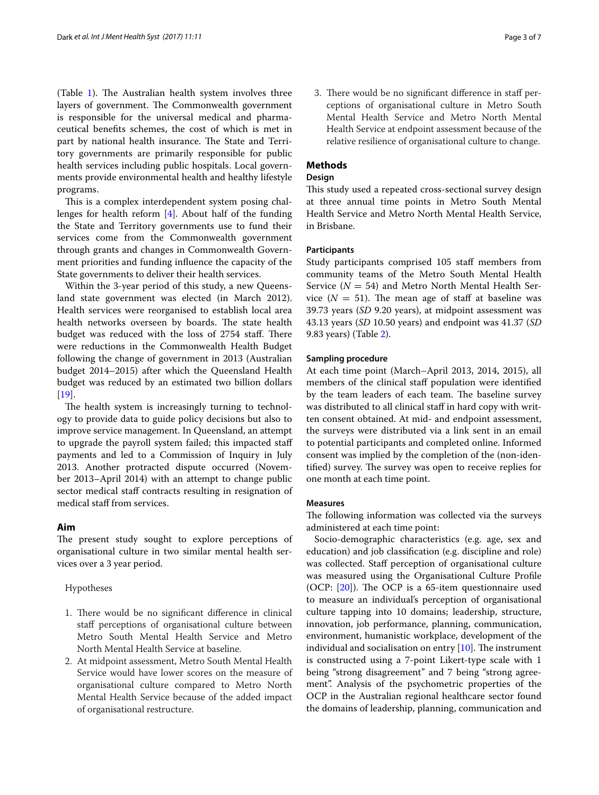(Table [1\)](#page-1-0). The Australian health system involves three layers of government. The Commonwealth government is responsible for the universal medical and pharmaceutical benefits schemes, the cost of which is met in part by national health insurance. The State and Territory governments are primarily responsible for public health services including public hospitals. Local governments provide environmental health and healthy lifestyle programs.

This is a complex interdependent system posing challenges for health reform [\[4](#page-6-2)]. About half of the funding the State and Territory governments use to fund their services come from the Commonwealth government through grants and changes in Commonwealth Government priorities and funding influence the capacity of the State governments to deliver their health services.

Within the 3-year period of this study, a new Queensland state government was elected (in March 2012). Health services were reorganised to establish local area health networks overseen by boards. The state health budget was reduced with the loss of 2754 staff. There were reductions in the Commonwealth Health Budget following the change of government in 2013 (Australian budget 2014–2015) after which the Queensland Health budget was reduced by an estimated two billion dollars [[19\]](#page-6-18).

The health system is increasingly turning to technology to provide data to guide policy decisions but also to improve service management. In Queensland, an attempt to upgrade the payroll system failed; this impacted staff payments and led to a Commission of Inquiry in July 2013. Another protracted dispute occurred (November 2013–April 2014) with an attempt to change public sector medical staff contracts resulting in resignation of medical staff from services.

## **Aim**

The present study sought to explore perceptions of organisational culture in two similar mental health services over a 3 year period.

## Hypotheses

- 1. There would be no significant difference in clinical staff perceptions of organisational culture between Metro South Mental Health Service and Metro North Mental Health Service at baseline.
- 2. At midpoint assessment, Metro South Mental Health Service would have lower scores on the measure of organisational culture compared to Metro North Mental Health Service because of the added impact of organisational restructure.

3. There would be no significant difference in staff perceptions of organisational culture in Metro South Mental Health Service and Metro North Mental Health Service at endpoint assessment because of the relative resilience of organisational culture to change.

# **Methods**

## **Design**

This study used a repeated cross-sectional survey design at three annual time points in Metro South Mental Health Service and Metro North Mental Health Service, in Brisbane.

## **Participants**

Study participants comprised 105 staff members from community teams of the Metro South Mental Health Service  $(N = 54)$  and Metro North Mental Health Service  $(N = 51)$ . The mean age of staff at baseline was 39.73 years (*SD* 9.20 years), at midpoint assessment was 43.13 years (*SD* 10.50 years) and endpoint was 41.37 (*SD* 9.83 years) (Table [2](#page-3-0)).

#### **Sampling procedure**

At each time point (March–April 2013, 2014, 2015), all members of the clinical staff population were identified by the team leaders of each team. The baseline survey was distributed to all clinical staff in hard copy with written consent obtained. At mid- and endpoint assessment, the surveys were distributed via a link sent in an email to potential participants and completed online. Informed consent was implied by the completion of the (non-identified) survey. The survey was open to receive replies for one month at each time point.

### **Measures**

The following information was collected via the surveys administered at each time point:

Socio-demographic characteristics (e.g. age, sex and education) and job classification (e.g. discipline and role) was collected. Staff perception of organisational culture was measured using the Organisational Culture Profile (OCP: [[20\]](#page-6-19)). The OCP is a 65-item questionnaire used to measure an individual's perception of organisational culture tapping into 10 domains; leadership, structure, innovation, job performance, planning, communication, environment, humanistic workplace, development of the individual and socialisation on entry  $[10]$  $[10]$ . The instrument is constructed using a 7-point Likert-type scale with 1 being "strong disagreement" and 7 being "strong agreement". Analysis of the psychometric properties of the OCP in the Australian regional healthcare sector found the domains of leadership, planning, communication and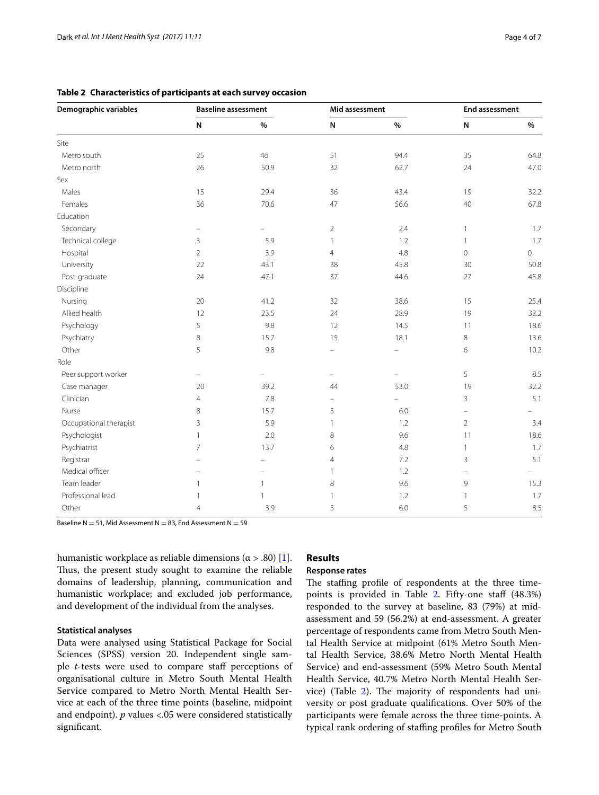| Demographic variables  | <b>Baseline assessment</b> |                          | Mid assessment           |                          | <b>End assessment</b> |         |
|------------------------|----------------------------|--------------------------|--------------------------|--------------------------|-----------------------|---------|
|                        | N                          | $\%$                     | ${\sf N}$                | $\%$                     | N                     | $\%$    |
| Site                   |                            |                          |                          |                          |                       |         |
| Metro south            | 25                         | 46                       | 51                       | 94.4                     | 35                    | 64.8    |
| Metro north            | 26                         | 50.9                     | 32                       | 62.7                     | 24                    | 47.0    |
| Sex                    |                            |                          |                          |                          |                       |         |
| Males                  | 15                         | 29.4                     | 36                       | 43.4                     | 19                    | 32.2    |
| Females                | 36                         | 70.6                     | 47                       | 56.6                     | 40                    | 67.8    |
| Education              |                            |                          |                          |                          |                       |         |
| Secondary              | $\equiv$                   |                          | $\overline{2}$           | 2.4                      | $\mathbf{1}$          | 1.7     |
| Technical college      | 3                          | 5.9                      | $\mathbf{1}$             | 1.2                      | $\mathbf{1}$          | 1.7     |
| Hospital               | $\overline{2}$             | 3.9                      | $\overline{4}$           | 4.8                      | $\overline{0}$        | $\circ$ |
| University             | 22                         | 43.1                     | 38                       | 45.8                     | 30                    | 50.8    |
| Post-graduate          | 24                         | 47.1                     | 37                       | 44.6                     | 27                    | 45.8    |
| Discipline             |                            |                          |                          |                          |                       |         |
| Nursing                | 20                         | 41.2                     | 32                       | 38.6                     | 15                    | 25.4    |
| Allied health          | 12                         | 23.5                     | 24                       | 28.9                     | 19                    | 32.2    |
| Psychology             | 5                          | 9.8                      | 12                       | 14.5                     | 11                    | 18.6    |
| Psychiatry             | $\,8\,$                    | 15.7                     | 15                       | 18.1                     | 8                     | 13.6    |
| Other                  | 5                          | 9.8                      | $\equiv$                 |                          | 6                     | 10.2    |
| Role                   |                            |                          |                          |                          |                       |         |
| Peer support worker    | $\overline{\phantom{0}}$   | $\equiv$                 | $\overline{\phantom{m}}$ | $\overline{\phantom{0}}$ | 5                     | 8.5     |
| Case manager           | 20                         | 39.2                     | 44                       | 53.0                     | 19                    | 32.2    |
| Clinician              | $\overline{4}$             | 7.8                      | $\overline{\phantom{0}}$ |                          | 3                     | 5.1     |
| Nurse                  | 8                          | 15.7                     | 5                        | 6.0                      | $\equiv$              |         |
| Occupational therapist | 3                          | 5.9                      | $\mathbf{1}$             | 1.2                      | $\overline{2}$        | 3.4     |
| Psychologist           | $\mathbf{1}$               | 2.0                      | 8                        | 9.6                      | 11                    | 18.6    |
| Psychiatrist           | $\overline{7}$             | 13.7                     | 6                        | 4.8                      | $\mathbf{1}$          | 1.7     |
| Registrar              | $\equiv$                   | $\overline{\phantom{0}}$ | $\overline{4}$           | 7.2                      | 3                     | 5.1     |
| Medical officer        | $\overline{\phantom{0}}$   | ÷                        | $\mathbf{1}$             | 1.2                      |                       |         |
| Team leader            | 1                          | 1                        | 8                        | 9.6                      | 9                     | 15.3    |
| Professional lead      | 1                          |                          | $\overline{1}$           | 1.2                      | 1                     | 1.7     |
| Other                  | $\overline{4}$             | 3.9                      | 5                        | $6.0$                    | 5                     | 8.5     |

<span id="page-3-0"></span>**Table 2 Characteristics of participants at each survey occasion**

Baseline  $N = 51$ , Mid Assessment  $N = 83$ , End Assessment  $N = 59$ 

humanistic workplace as reliable dimensions ( $\alpha$  > .80) [\[1](#page-6-0)]. Thus, the present study sought to examine the reliable domains of leadership, planning, communication and humanistic workplace; and excluded job performance, and development of the individual from the analyses.

# **Statistical analyses**

Data were analysed using Statistical Package for Social Sciences (SPSS) version 20. Independent single sample *t*-tests were used to compare staff perceptions of organisational culture in Metro South Mental Health Service compared to Metro North Mental Health Service at each of the three time points (baseline, midpoint and endpoint). *p* values <.05 were considered statistically significant.

# **Results**

# **Response rates**

The staffing profile of respondents at the three timepoints is provided in Table [2.](#page-3-0) Fifty-one staff (48.3%) responded to the survey at baseline, 83 (79%) at midassessment and 59 (56.2%) at end-assessment. A greater percentage of respondents came from Metro South Mental Health Service at midpoint (61% Metro South Mental Health Service, 38.6% Metro North Mental Health Service) and end-assessment (59% Metro South Mental Health Service, 40.7% Metro North Mental Health Service) (Table [2](#page-3-0)). The majority of respondents had university or post graduate qualifications. Over 50% of the participants were female across the three time-points. A typical rank ordering of staffing profiles for Metro South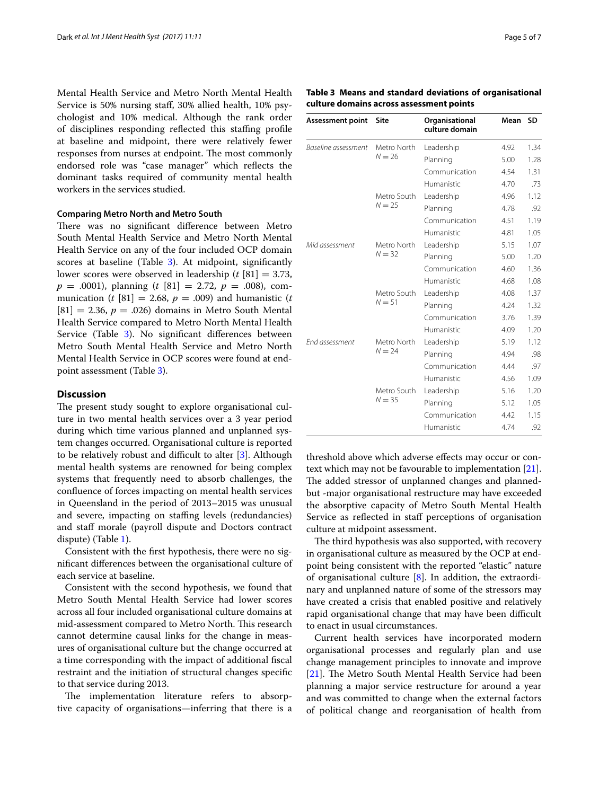Mental Health Service and Metro North Mental Health Service is 50% nursing staff, 30% allied health, 10% psychologist and 10% medical. Although the rank order of disciplines responding reflected this staffing profile at baseline and midpoint, there were relatively fewer responses from nurses at endpoint. The most commonly endorsed role was "case manager" which reflects the dominant tasks required of community mental health workers in the services studied.

#### **Comparing Metro North and Metro South**

There was no significant difference between Metro South Mental Health Service and Metro North Mental Health Service on any of the four included OCP domain scores at baseline (Table [3\)](#page-4-0). At midpoint, significantly lower scores were observed in leadership (*t* [81] = 3.73,  $p = .0001$ , planning (*t* [81] = 2.72,  $p = .008$ ), communication ( $t$  [81] = 2.68,  $p = .009$ ) and humanistic ( $t$  $[81] = 2.36$ ,  $p = .026$ ) domains in Metro South Mental Health Service compared to Metro North Mental Health Service (Table [3](#page-4-0)). No significant differences between Metro South Mental Health Service and Metro North Mental Health Service in OCP scores were found at endpoint assessment (Table [3\)](#page-4-0).

## **Discussion**

The present study sought to explore organisational culture in two mental health services over a 3 year period during which time various planned and unplanned system changes occurred. Organisational culture is reported to be relatively robust and difficult to alter [[3](#page-6-1)]. Although mental health systems are renowned for being complex systems that frequently need to absorb challenges, the confluence of forces impacting on mental health services in Queensland in the period of 2013–2015 was unusual and severe, impacting on staffing levels (redundancies) and staff morale (payroll dispute and Doctors contract dispute) (Table [1\)](#page-1-0).

Consistent with the first hypothesis, there were no significant differences between the organisational culture of each service at baseline.

Consistent with the second hypothesis, we found that Metro South Mental Health Service had lower scores across all four included organisational culture domains at mid-assessment compared to Metro North. This research cannot determine causal links for the change in measures of organisational culture but the change occurred at a time corresponding with the impact of additional fiscal restraint and the initiation of structural changes specific to that service during 2013.

The implementation literature refers to absorptive capacity of organisations—inferring that there is a

<span id="page-4-0"></span>

|                                          |  |  |  |  | Table 3 Means and standard deviations of organisational |  |  |  |
|------------------------------------------|--|--|--|--|---------------------------------------------------------|--|--|--|
| culture domains across assessment points |  |  |  |  |                                                         |  |  |  |

| <b>Assessment point</b> | Site                    | Organisational<br>culture domain | Mean SD                                                                                                                      |      |
|-------------------------|-------------------------|----------------------------------|------------------------------------------------------------------------------------------------------------------------------|------|
| Baseline assessment     | Metro North<br>$N = 26$ | Leadership                       | 4.92                                                                                                                         | 1.34 |
|                         |                         | Planning                         | 5.00                                                                                                                         | 1.28 |
|                         |                         | Communication                    | 4.54<br>4.70<br>4.96<br>4.78<br>4.51<br>4.81<br>5.15<br>5.00<br>4.60<br>4.68<br>4.08<br>4.24<br>3.76<br>4.09<br>5.19<br>4.94 | 1.31 |
|                         |                         | Humanistic                       |                                                                                                                              | .73  |
|                         | Metro South             | Leadership                       |                                                                                                                              | 1.12 |
|                         | $N = 25$                | Planning                         |                                                                                                                              | .92  |
|                         |                         | Communication                    |                                                                                                                              | 1.19 |
|                         |                         | <b>Humanistic</b>                |                                                                                                                              | 1.05 |
| Mid assessment          | Metro North<br>$N = 32$ | Leadership                       |                                                                                                                              | 1.07 |
|                         |                         | Planning                         |                                                                                                                              | 1.20 |
|                         |                         | Communication                    |                                                                                                                              | 1.36 |
|                         |                         | Humanistic                       |                                                                                                                              | 1.08 |
|                         | Metro South<br>$N = 51$ | Leadership                       |                                                                                                                              | 1.37 |
|                         |                         | Planning                         |                                                                                                                              | 1.32 |
|                         |                         | Communication                    |                                                                                                                              | 1.39 |
|                         |                         | Humanistic                       |                                                                                                                              | 1.20 |
| <b>Fnd assessment</b>   | Metro North             | Leadership                       |                                                                                                                              | 1.12 |
|                         | $N = 24$                | Planning                         | 4.44<br>4.56<br>5.16<br>5.12<br>4.42<br>4.74                                                                                 | .98  |
|                         |                         | Communication                    |                                                                                                                              | .97  |
|                         |                         | <b>Humanistic</b>                |                                                                                                                              | 1.09 |
|                         | Metro South             | Leadership                       |                                                                                                                              | 1.20 |
|                         | $N = 35$                | Planning                         |                                                                                                                              | 1.05 |
|                         |                         | Communication                    |                                                                                                                              | 1.15 |
|                         |                         | Humanistic                       |                                                                                                                              | .92  |

threshold above which adverse effects may occur or context which may not be favourable to implementation [\[21](#page-6-20)]. The added stressor of unplanned changes and plannedbut -major organisational restructure may have exceeded the absorptive capacity of Metro South Mental Health Service as reflected in staff perceptions of organisation culture at midpoint assessment.

The third hypothesis was also supported, with recovery in organisational culture as measured by the OCP at endpoint being consistent with the reported "elastic" nature of organisational culture [\[8](#page-6-6)]. In addition, the extraordinary and unplanned nature of some of the stressors may have created a crisis that enabled positive and relatively rapid organisational change that may have been difficult to enact in usual circumstances.

Current health services have incorporated modern organisational processes and regularly plan and use change management principles to innovate and improve [[21\]](#page-6-20). The Metro South Mental Health Service had been planning a major service restructure for around a year and was committed to change when the external factors of political change and reorganisation of health from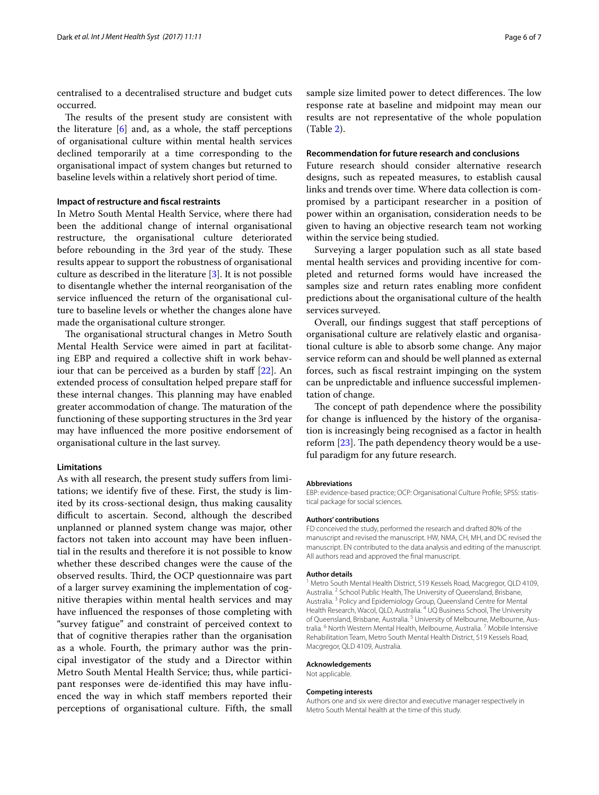centralised to a decentralised structure and budget cuts occurred.

The results of the present study are consistent with the literature  $[6]$  $[6]$  and, as a whole, the staff perceptions of organisational culture within mental health services declined temporarily at a time corresponding to the organisational impact of system changes but returned to baseline levels within a relatively short period of time.

# **Impact of restructure and fiscal restraints**

In Metro South Mental Health Service, where there had been the additional change of internal organisational restructure, the organisational culture deteriorated before rebounding in the 3rd year of the study. These results appear to support the robustness of organisational culture as described in the literature [[3\]](#page-6-1). It is not possible to disentangle whether the internal reorganisation of the service influenced the return of the organisational culture to baseline levels or whether the changes alone have made the organisational culture stronger.

The organisational structural changes in Metro South Mental Health Service were aimed in part at facilitating EBP and required a collective shift in work behaviour that can be perceived as a burden by staff  $[22]$  $[22]$ . An extended process of consultation helped prepare staff for these internal changes. This planning may have enabled greater accommodation of change. The maturation of the functioning of these supporting structures in the 3rd year may have influenced the more positive endorsement of organisational culture in the last survey.

#### **Limitations**

As with all research, the present study suffers from limitations; we identify five of these. First, the study is limited by its cross-sectional design, thus making causality difficult to ascertain. Second, although the described unplanned or planned system change was major, other factors not taken into account may have been influential in the results and therefore it is not possible to know whether these described changes were the cause of the observed results. Third, the OCP questionnaire was part of a larger survey examining the implementation of cognitive therapies within mental health services and may have influenced the responses of those completing with "survey fatigue" and constraint of perceived context to that of cognitive therapies rather than the organisation as a whole. Fourth, the primary author was the principal investigator of the study and a Director within Metro South Mental Health Service; thus, while participant responses were de-identified this may have influenced the way in which staff members reported their perceptions of organisational culture. Fifth, the small sample size limited power to detect differences. The low response rate at baseline and midpoint may mean our results are not representative of the whole population (Table [2\)](#page-3-0).

## **Recommendation for future research and conclusions**

Future research should consider alternative research designs, such as repeated measures, to establish causal links and trends over time. Where data collection is compromised by a participant researcher in a position of power within an organisation, consideration needs to be given to having an objective research team not working within the service being studied.

Surveying a larger population such as all state based mental health services and providing incentive for completed and returned forms would have increased the samples size and return rates enabling more confident predictions about the organisational culture of the health services surveyed.

Overall, our findings suggest that staff perceptions of organisational culture are relatively elastic and organisational culture is able to absorb some change. Any major service reform can and should be well planned as external forces, such as fiscal restraint impinging on the system can be unpredictable and influence successful implementation of change.

The concept of path dependence where the possibility for change is influenced by the history of the organisation is increasingly being recognised as a factor in health reform [\[23](#page-6-22)]. The path dependency theory would be a useful paradigm for any future research.

#### **Abbreviations**

EBP: evidence-based practice; OCP: Organisational Culture Profile; SPSS: statistical package for social sciences.

#### **Authors' contributions**

FD conceived the study, performed the research and drafted 80% of the manuscript and revised the manuscript. HW, NMA, CH, MH, and DC revised the manuscript. EN contributed to the data analysis and editing of the manuscript. All authors read and approved the final manuscript.

#### **Author details**

<sup>1</sup> Metro South Mental Health District, 519 Kessels Road, Macgregor, QLD 4109, Australia. <sup>2</sup> School Public Health, The University of Queensland, Brisbane, Australia.<sup>3</sup> Policy and Epidemiology Group, Queensland Centre for Mental Health Research, Wacol, QLD, Australia. <sup>4</sup> UQ Business School, The University of Queensland, Brisbane, Australia. 5 University of Melbourne, Melbourne, Australia. <sup>6</sup> North Western Mental Health, Melbourne, Australia. <sup>7</sup> Mobile Intensive Rehabilitation Team, Metro South Mental Health District, 519 Kessels Road, Macgregor, QLD 4109, Australia.

## **Acknowledgements**

Not applicable.

#### **Competing interests**

Authors one and six were director and executive manager respectively in Metro South Mental health at the time of this study.